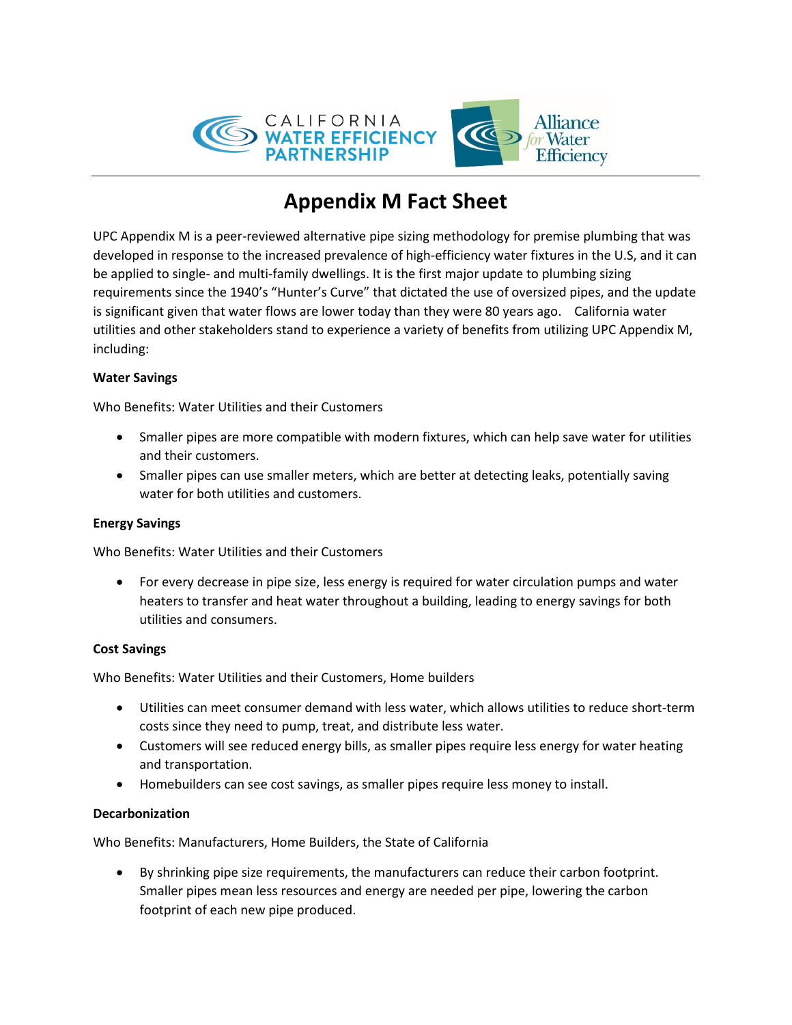

# **Appendix M Fact Sheet**

UPC Appendix M is a peer-reviewed alternative pipe sizing methodology for premise plumbing that was developed in response to the increased prevalence of high-efficiency water fixtures in the U.S, and it can be applied to single- and multi-family dwellings. It is the first major update to plumbing sizing requirements since the 1940's "Hunter's Curve" that dictated the use of oversized pipes, and the update is significant given that water flows are lower today than they were 80 years ago. California water utilities and other stakeholders stand to experience a variety of benefits from utilizing UPC Appendix M, including:

## **Water Savings**

Who Benefits: Water Utilities and their Customers

- Smaller pipes are more compatible with modern fixtures, which can help save water for utilities and their customers.
- Smaller pipes can use smaller meters, which are better at detecting leaks, potentially saving water for both utilities and customers.

#### **Energy Savings**

Who Benefits: Water Utilities and their Customers

• For every decrease in pipe size, less energy is required for water circulation pumps and water heaters to transfer and heat water throughout a building, leading to energy savings for both utilities and consumers.

#### **Cost Savings**

Who Benefits: Water Utilities and their Customers, Home builders

- Utilities can meet consumer demand with less water, which allows utilities to reduce short-term costs since they need to pump, treat, and distribute less water.
- Customers will see reduced energy bills, as smaller pipes require less energy for water heating and transportation.
- Homebuilders can see cost savings, as smaller pipes require less money to install.

#### **Decarbonization**

Who Benefits: Manufacturers, Home Builders, the State of California

• By shrinking pipe size requirements, the manufacturers can reduce their carbon footprint. Smaller pipes mean less resources and energy are needed per pipe, lowering the carbon footprint of each new pipe produced.